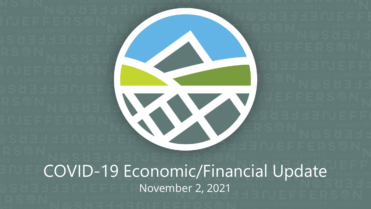

COVID-19 Economic/Financial Update November 2, 2021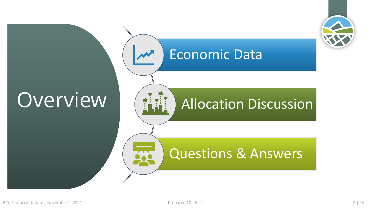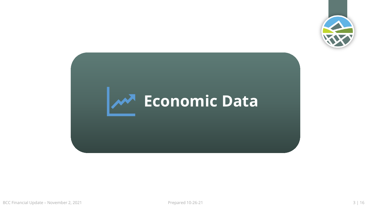

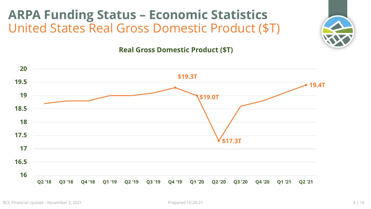#### **ARPA Funding Status – Economic Statistics** United States Real Gross Domestic Product (\$T)

**Real Gross Domestic Product (\$T)**

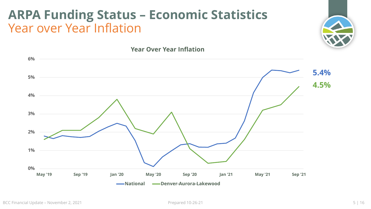#### **ARPA Funding Status – Economic Statistics** Year over Year Inflation



**Year Over Year Inflation**

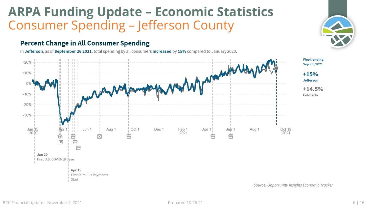#### **ARPA Funding Update – Economic Statistics** Consumer Spending – Jefferson County

#### **Percent Change in All Consumer Spending**

In Jefferson, as of September 26 2021, total spending by all consumers increased by 15% compared to January 2020.



*Source: Opportunity Insights Economic Tracker*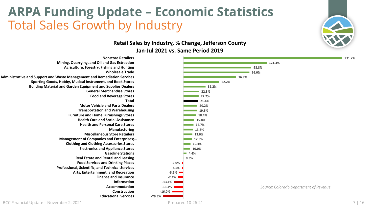#### **ARPA Funding Update – Economic Statistics** Total Sales Growth by Industry

**Retail Sales by Industry, % Change, Jefferson County Jan-Jul 2021 vs. Same Period 2019**

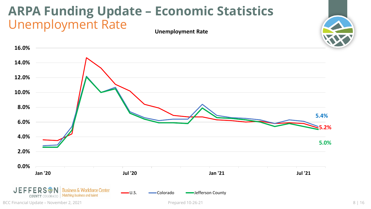#### **ARPA Funding Update – Economic Statistics** Unemployment Rate

**Unemployment Rate**

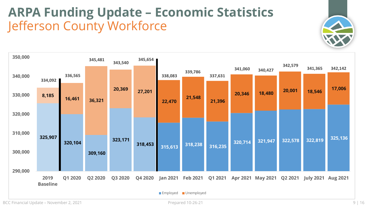#### **ARPA Funding Update – Economic Statistics** Jefferson County Workforce



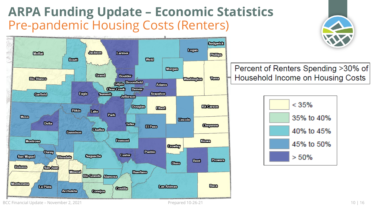#### **ARPA Funding Update – Economic Statistics** Pre-pandemic Housing Costs (Renters)



Percent of Renters Spending > 30% of Household Income on Housing Costs



BCC Financial Update – November 2, 2021 **Prepared 10-26-21** Prepared 10-26-21 10 | 16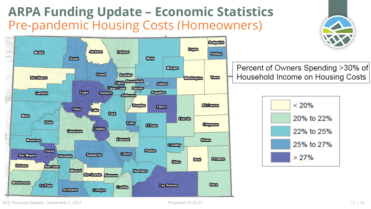#### **ARPA Funding Update – Economic Statistics** Pre-pandemic Housing Costs (Homeowners) **Sedgwick Logan** Jackson **Moffat Darimer Phillips Weld Routt** Percent of Owners Spending > 30% of Morgan Grand Boulder Household Income on Housing Costs **RioBlanco** Yoma Washington **Gipin** Broomfield **Adams Clear Creek Denver Garfield** Eagle **Summit Arapahoe** Jefferson  $< 20%$ **Douglas Kit Carson Elbert Pitkin Lake Rank Mesa** 20% to 22% **Director Delta Teller Cheyenne El Paso Chaffee Gunnison** 22% to 25% **Fremont Montrose Klowa** 25% to 27% **Crowley Rueblo Ouray Custer San Miguel Saguache Hinsdale**  $>27%$ **Prowers Bent**  $O(\epsilon r)$ **Dolores San Juan Mineral Huerfano** RibGande Annosa Montezuma **Las Animas Baca La Plata Costilla Archuleta Conejos**

BCC Financial Update – November 2, 2021 **Prepared 10-26-21** Prepared 10-26-21 11 | 16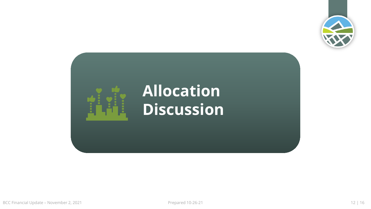

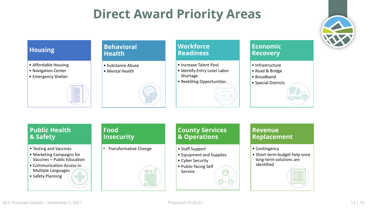## **Direct Award Priority Areas**

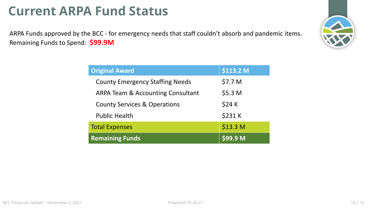### **Current ARPA Fund Status**

ARPA Funds approved by the BCC - for emergency needs that staff couldn't absorb and pandemic items. Remaining Funds to Spend: **\$99.9M**



| <b>Original Award</b>                   | \$113.2 M           |
|-----------------------------------------|---------------------|
| <b>County Emergency Staffing Needs</b>  | \$7.7 <sub>M</sub>  |
| ARPA Team & Accounting Consultant       | \$5.3 <sub>M</sub>  |
| <b>County Services &amp; Operations</b> | \$24 K              |
| <b>Public Health</b>                    | \$231 K             |
| <b>Total Expenses</b>                   | \$13.3 <sub>M</sub> |
| <b>Remaining Funds</b>                  | 599.9 <sub>M</sub>  |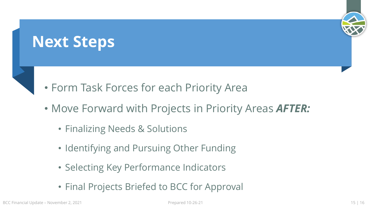# **Next Steps**



- Move Forward with Projects in Priority Areas *AFTER:*
	- Finalizing Needs & Solutions
	- Identifying and Pursuing Other Funding
	- Selecting Key Performance Indicators
	- Final Projects Briefed to BCC for Approval